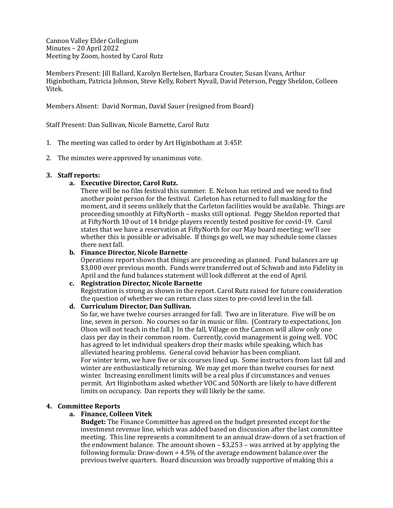Cannon Valley Elder Collegium Minutes – 20 April 2022 Meeting by Zoom, hosted by Carol Rutz

Members Present: Jill Ballard, Karolyn Bertelsen, Barbara Crouter, Susan Evans, Arthur Higinbotham, Patricia Johnson, Steve Kelly, Robert Nyvall, David Peterson, Peggy Sheldon, Colleen Vitek.

Members Absent: David Norman, David Sauer (resigned from Board)

Staff Present: Dan Sullivan, Nicole Barnette, Carol Rutz

- 1. The meeting was called to order by Art Higinbotham at 3:45P.
- 2. The minutes were approved by unanimous vote.

## **3.** Staff reports:

## a. **Executive Director, Carol Rutz.**

There will be no film festival this summer. E. Nelson has retired and we need to find another point person for the festival. Carleton has returned to full masking for the moment, and it seems unlikely that the Carleton facilities would be available. Things are proceeding smoothly at FiftyNorth – masks still optional. Peggy Sheldon reported that at FiftyNorth 10 out of 14 bridge players recently tested positive for covid-19. Carol states that we have a reservation at FiftyNorth for our May board meeting; we'll see whether this is possible or advisable. If things go well, we may schedule some classes there next fall.

#### **b.** Finance Director, Nicole Barnette

Operations report shows that things are proceeding as planned. Fund balances are up \$3,000 over previous month. Funds were transferred out of Schwab and into Fidelity in April and the fund balances statement will look different at the end of April.

## **c. Registration Director, Nicole Barnette**

Registration is strong as shown in the report. Carol Rutz raised for future consideration the question of whether we can return class sizes to pre-covid level in the fall.

## **d. Curriculum Director, Dan Sullivan.**

So far, we have twelve courses arranged for fall. Two are in literature. Five will be on line, seven in person. No courses so far in music or film. (Contrary to expectations, Jon Olson will not teach in the fall.) In the fall, Village on the Cannon will allow only one class per day in their common room. Currently, covid management is going well. VOC has agreed to let individual speakers drop their masks while speaking, which has alleviated hearing problems. General covid behavior has been compliant. For winter term, we have five or six courses lined up. Some instructors from last fall and winter are enthusiastically returning. We may get more than twelve courses for next winter. Increasing enrollment limits will be a real plus if circumstances and venues permit. Art Higinbotham asked whether VOC and 50North are likely to have different limits on occupancy. Dan reports they will likely be the same.

## **4. Committee Reports**

## **a. Finance, Colleen Vitek**

**Budget:** The Finance Committee has agreed on the budget presented except for the investment revenue line, which was added based on discussion after the last committee meeting. This line represents a commitment to an annual draw-down of a set fraction of the endowment balance. The amount shown  $-$  \$3,253 – was arrived at by applying the following formula: Draw-down =  $4.5\%$  of the average endowment balance over the previous twelve quarters. Board discussion was broadly supportive of making this a